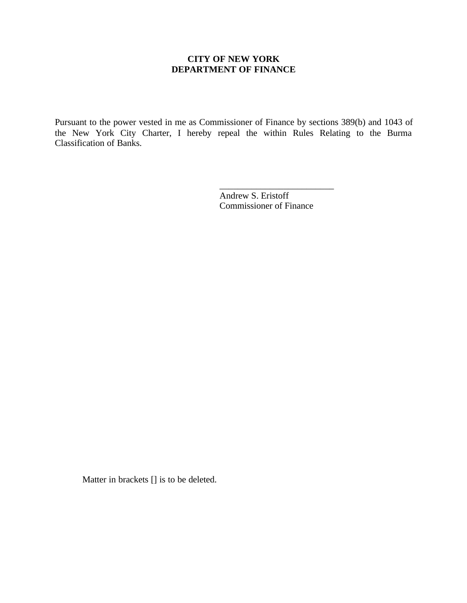## **CITY OF NEW YORK DEPARTMENT OF FINANCE**

Pursuant to the power vested in me as Commissioner of Finance by sections 389(b) and 1043 of the New York City Charter, I hereby repeal the within Rules Relating to the Burma Classification of Banks.

> Andrew S. Eristoff Commissioner of Finance

\_\_\_\_\_\_\_\_\_\_\_\_\_\_\_\_\_\_\_\_\_\_\_\_\_

Matter in brackets [] is to be deleted.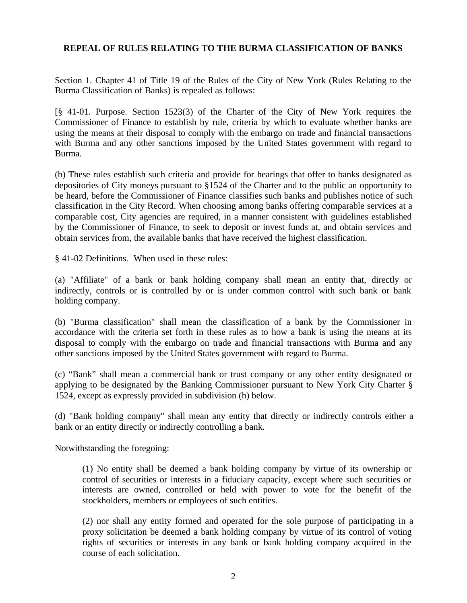## **REPEAL OF RULES RELATING TO THE BURMA CLASSIFICATION OF BANKS**

Section 1. Chapter 41 of Title 19 of the Rules of the City of New York (Rules Relating to the Burma Classification of Banks) is repealed as follows:

[§ 41-01. Purpose. Section 1523(3) of the Charter of the City of New York requires the Commissioner of Finance to establish by rule, criteria by which to evaluate whether banks are using the means at their disposal to comply with the embargo on trade and financial transactions with Burma and any other sanctions imposed by the United States government with regard to Burma.

(b) These rules establish such criteria and provide for hearings that offer to banks designated as depositories of City moneys pursuant to §1524 of the Charter and to the public an opportunity to be heard, before the Commissioner of Finance classifies such banks and publishes notice of such classification in the City Record. When choosing among banks offering comparable services at a comparable cost, City agencies are required, in a manner consistent with guidelines established by the Commissioner of Finance, to seek to deposit or invest funds at, and obtain services and obtain services from, the available banks that have received the highest classification.

§ 41-02 Definitions. When used in these rules:

(a) "Affiliate" of a bank or bank holding company shall mean an entity that, directly or indirectly, controls or is controlled by or is under common control with such bank or bank holding company.

(b) "Burma classification" shall mean the classification of a bank by the Commissioner in accordance with the criteria set forth in these rules as to how a bank is using the means at its disposal to comply with the embargo on trade and financial transactions with Burma and any other sanctions imposed by the United States government with regard to Burma.

(c) "Bank" shall mean a commercial bank or trust company or any other entity designated or applying to be designated by the Banking Commissioner pursuant to New York City Charter § 1524, except as expressly provided in subdivision (h) below.

(d) "Bank holding company" shall mean any entity that directly or indirectly controls either a bank or an entity directly or indirectly controlling a bank.

Notwithstanding the foregoing:

(1) No entity shall be deemed a bank holding company by virtue of its ownership or control of securities or interests in a fiduciary capacity, except where such securities or interests are owned, controlled or held with power to vote for the benefit of the stockholders, members or employees of such entities.

(2) nor shall any entity formed and operated for the sole purpose of participating in a proxy solicitation be deemed a bank holding company by virtue of its control of voting rights of securities or interests in any bank or bank holding company acquired in the course of each solicitation.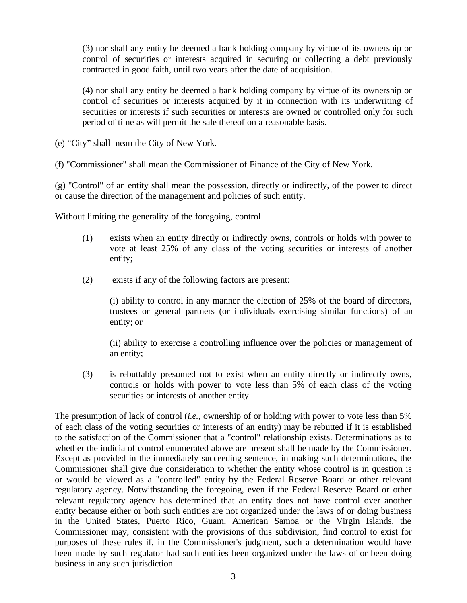(3) nor shall any entity be deemed a bank holding company by virtue of its ownership or control of securities or interests acquired in securing or collecting a debt previously contracted in good faith, until two years after the date of acquisition.

(4) nor shall any entity be deemed a bank holding company by virtue of its ownership or control of securities or interests acquired by it in connection with its underwriting of securities or interests if such securities or interests are owned or controlled only for such period of time as will permit the sale thereof on a reasonable basis.

(e) "City" shall mean the City of New York.

(f) "Commissioner" shall mean the Commissioner of Finance of the City of New York.

(g) "Control" of an entity shall mean the possession, directly or indirectly, of the power to direct or cause the direction of the management and policies of such entity.

Without limiting the generality of the foregoing, control

- (1) exists when an entity directly or indirectly owns, controls or holds with power to vote at least 25% of any class of the voting securities or interests of another entity;
- (2) exists if any of the following factors are present:

(i) ability to control in any manner the election of 25% of the board of directors, trustees or general partners (or individuals exercising similar functions) of an entity; or

(ii) ability to exercise a controlling influence over the policies or management of an entity;

(3) is rebuttably presumed not to exist when an entity directly or indirectly owns, controls or holds with power to vote less than 5% of each class of the voting securities or interests of another entity.

The presumption of lack of control (*i.e.*, ownership of or holding with power to vote less than 5% of each class of the voting securities or interests of an entity) may be rebutted if it is established to the satisfaction of the Commissioner that a "control" relationship exists. Determinations as to whether the indicia of control enumerated above are present shall be made by the Commissioner. Except as provided in the immediately succeeding sentence, in making such determinations, the Commissioner shall give due consideration to whether the entity whose control is in question is or would be viewed as a "controlled" entity by the Federal Reserve Board or other relevant regulatory agency. Notwithstanding the foregoing, even if the Federal Reserve Board or other relevant regulatory agency has determined that an entity does not have control over another entity because either or both such entities are not organized under the laws of or doing business in the United States, Puerto Rico, Guam, American Samoa or the Virgin Islands, the Commissioner may, consistent with the provisions of this subdivision, find control to exist for purposes of these rules if, in the Commissioner's judgment, such a determination would have been made by such regulator had such entities been organized under the laws of or been doing business in any such jurisdiction.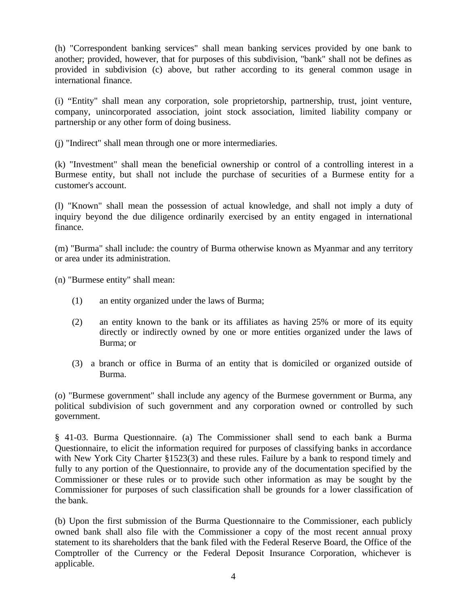(h) "Correspondent banking services" shall mean banking services provided by one bank to another; provided, however, that for purposes of this subdivision, "bank" shall not be defines as provided in subdivision (c) above, but rather according to its general common usage in international finance.

(i) "Entity" shall mean any corporation, sole proprietorship, partnership, trust, joint venture, company, unincorporated association, joint stock association, limited liability company or partnership or any other form of doing business.

(j) "Indirect" shall mean through one or more intermediaries.

(k) "Investment" shall mean the beneficial ownership or control of a controlling interest in a Burmese entity, but shall not include the purchase of securities of a Burmese entity for a customer's account.

(l) "Known" shall mean the possession of actual knowledge, and shall not imply a duty of inquiry beyond the due diligence ordinarily exercised by an entity engaged in international finance.

(m) "Burma" shall include: the country of Burma otherwise known as Myanmar and any territory or area under its administration.

(n) "Burmese entity" shall mean:

- (1) an entity organized under the laws of Burma;
- (2) an entity known to the bank or its affiliates as having 25% or more of its equity directly or indirectly owned by one or more entities organized under the laws of Burma; or
- (3) a branch or office in Burma of an entity that is domiciled or organized outside of Burma.

(o) "Burmese government" shall include any agency of the Burmese government or Burma, any political subdivision of such government and any corporation owned or controlled by such government.

§ 41-03. Burma Questionnaire. (a) The Commissioner shall send to each bank a Burma Questionnaire, to elicit the information required for purposes of classifying banks in accordance with New York City Charter §1523(3) and these rules. Failure by a bank to respond timely and fully to any portion of the Questionnaire, to provide any of the documentation specified by the Commissioner or these rules or to provide such other information as may be sought by the Commissioner for purposes of such classification shall be grounds for a lower classification of the bank.

(b) Upon the first submission of the Burma Questionnaire to the Commissioner, each publicly owned bank shall also file with the Commissioner a copy of the most recent annual proxy statement to its shareholders that the bank filed with the Federal Reserve Board, the Office of the Comptroller of the Currency or the Federal Deposit Insurance Corporation, whichever is applicable.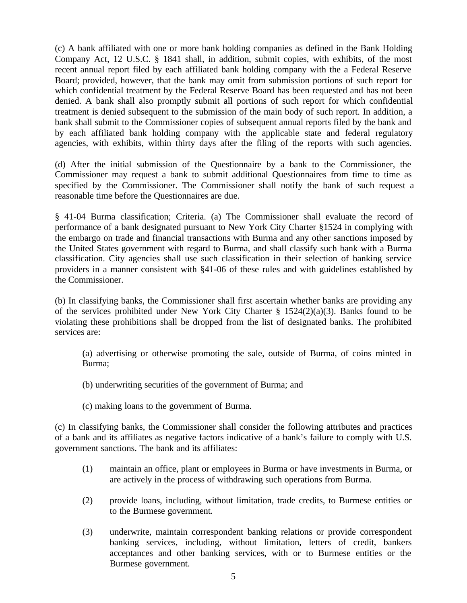(c) A bank affiliated with one or more bank holding companies as defined in the Bank Holding Company Act, 12 U.S.C. § 1841 shall, in addition, submit copies, with exhibits, of the most recent annual report filed by each affiliated bank holding company with the a Federal Reserve Board; provided, however, that the bank may omit from submission portions of such report for which confidential treatment by the Federal Reserve Board has been requested and has not been denied. A bank shall also promptly submit all portions of such report for which confidential treatment is denied subsequent to the submission of the main body of such report. In addition, a bank shall submit to the Commissioner copies of subsequent annual reports filed by the bank and by each affiliated bank holding company with the applicable state and federal regulatory agencies, with exhibits, within thirty days after the filing of the reports with such agencies.

(d) After the initial submission of the Questionnaire by a bank to the Commissioner, the Commissioner may request a bank to submit additional Questionnaires from time to time as specified by the Commissioner. The Commissioner shall notify the bank of such request a reasonable time before the Questionnaires are due.

§ 41-04 Burma classification; Criteria. (a) The Commissioner shall evaluate the record of performance of a bank designated pursuant to New York City Charter §1524 in complying with the embargo on trade and financial transactions with Burma and any other sanctions imposed by the United States government with regard to Burma, and shall classify such bank with a Burma classification. City agencies shall use such classification in their selection of banking service providers in a manner consistent with §41-06 of these rules and with guidelines established by the Commissioner.

(b) In classifying banks, the Commissioner shall first ascertain whether banks are providing any of the services prohibited under New York City Charter  $\S$  1524(2)(a)(3). Banks found to be violating these prohibitions shall be dropped from the list of designated banks. The prohibited services are:

(a) advertising or otherwise promoting the sale, outside of Burma, of coins minted in Burma;

- (b) underwriting securities of the government of Burma; and
- (c) making loans to the government of Burma.

(c) In classifying banks, the Commissioner shall consider the following attributes and practices of a bank and its affiliates as negative factors indicative of a bank's failure to comply with U.S. government sanctions. The bank and its affiliates:

- (1) maintain an office, plant or employees in Burma or have investments in Burma, or are actively in the process of withdrawing such operations from Burma.
- (2) provide loans, including, without limitation, trade credits, to Burmese entities or to the Burmese government.
- (3) underwrite, maintain correspondent banking relations or provide correspondent banking services, including, without limitation, letters of credit, bankers acceptances and other banking services, with or to Burmese entities or the Burmese government.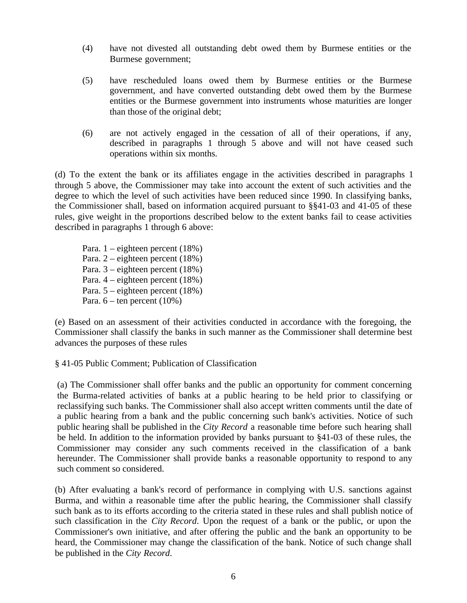- (4) have not divested all outstanding debt owed them by Burmese entities or the Burmese government;
- (5) have rescheduled loans owed them by Burmese entities or the Burmese government, and have converted outstanding debt owed them by the Burmese entities or the Burmese government into instruments whose maturities are longer than those of the original debt;
- (6) are not actively engaged in the cessation of all of their operations, if any, described in paragraphs 1 through 5 above and will not have ceased such operations within six months.

(d) To the extent the bank or its affiliates engage in the activities described in paragraphs 1 through 5 above, the Commissioner may take into account the extent of such activities and the degree to which the level of such activities have been reduced since 1990. In classifying banks, the Commissioner shall, based on information acquired pursuant to §§41-03 and 41-05 of these rules, give weight in the proportions described below to the extent banks fail to cease activities described in paragraphs 1 through 6 above:

Para. 1 – eighteen percent (18%) Para. 2 – eighteen percent (18%) Para. 3 – eighteen percent (18%) Para. 4 – eighteen percent (18%) Para. 5 – eighteen percent (18%) Para.  $6$  – ten percent (10%)

(e) Based on an assessment of their activities conducted in accordance with the foregoing, the Commissioner shall classify the banks in such manner as the Commissioner shall determine best advances the purposes of these rules

§ 41-05 Public Comment; Publication of Classification

(a) The Commissioner shall offer banks and the public an opportunity for comment concerning the Burma-related activities of banks at a public hearing to be held prior to classifying or reclassifying such banks. The Commissioner shall also accept written comments until the date of a public hearing from a bank and the public concerning such bank's activities. Notice of such public hearing shall be published in the *City Record* a reasonable time before such hearing shall be held. In addition to the information provided by banks pursuant to §41-03 of these rules, the Commissioner may consider any such comments received in the classification of a bank hereunder. The Commissioner shall provide banks a reasonable opportunity to respond to any such comment so considered.

(b) After evaluating a bank's record of performance in complying with U.S. sanctions against Burma, and within a reasonable time after the public hearing, the Commissioner shall classify such bank as to its efforts according to the criteria stated in these rules and shall publish notice of such classification in the *City Record*. Upon the request of a bank or the public, or upon the Commissioner's own initiative, and after offering the public and the bank an opportunity to be heard, the Commissioner may change the classification of the bank. Notice of such change shall be published in the *City Record*.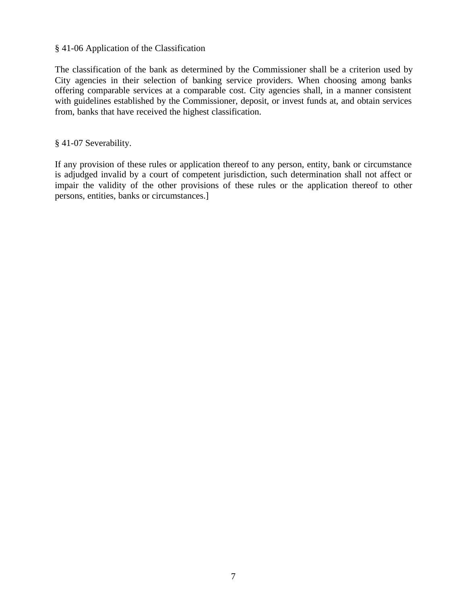## § 41-06 Application of the Classification

The classification of the bank as determined by the Commissioner shall be a criterion used by City agencies in their selection of banking service providers. When choosing among banks offering comparable services at a comparable cost. City agencies shall, in a manner consistent with guidelines established by the Commissioner, deposit, or invest funds at, and obtain services from, banks that have received the highest classification.

§ 41-07 Severability.

If any provision of these rules or application thereof to any person, entity, bank or circumstance is adjudged invalid by a court of competent jurisdiction, such determination shall not affect or impair the validity of the other provisions of these rules or the application thereof to other persons, entities, banks or circumstances.]